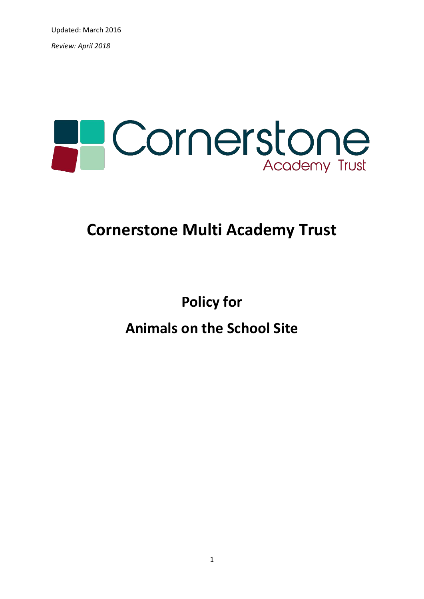Updated: March 2016 *Review: April 2018*



# **Cornerstone Multi Academy Trust**

**Policy for** 

**Animals on the School Site**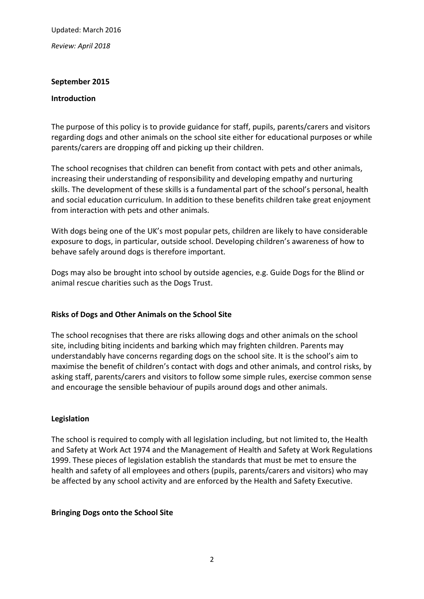Updated: March 2016

*Review: April 2018*

# **September 2015**

### **Introduction**

The purpose of this policy is to provide guidance for staff, pupils, parents/carers and visitors regarding dogs and other animals on the school site either for educational purposes or while parents/carers are dropping off and picking up their children.

The school recognises that children can benefit from contact with pets and other animals, increasing their understanding of responsibility and developing empathy and nurturing skills. The development of these skills is a fundamental part of the school's personal, health and social education curriculum. In addition to these benefits children take great enjoyment from interaction with pets and other animals.

With dogs being one of the UK's most popular pets, children are likely to have considerable exposure to dogs, in particular, outside school. Developing children's awareness of how to behave safely around dogs is therefore important.

Dogs may also be brought into school by outside agencies, e.g. Guide Dogs for the Blind or animal rescue charities such as the Dogs Trust.

# **Risks of Dogs and Other Animals on the School Site**

The school recognises that there are risks allowing dogs and other animals on the school site, including biting incidents and barking which may frighten children. Parents may understandably have concerns regarding dogs on the school site. It is the school's aim to maximise the benefit of children's contact with dogs and other animals, and control risks, by asking staff, parents/carers and visitors to follow some simple rules, exercise common sense and encourage the sensible behaviour of pupils around dogs and other animals.

# **Legislation**

The school is required to comply with all legislation including, but not limited to, the Health and Safety at Work Act 1974 and the Management of Health and Safety at Work Regulations 1999. These pieces of legislation establish the standards that must be met to ensure the health and safety of all employees and others (pupils, parents/carers and visitors) who may be affected by any school activity and are enforced by the Health and Safety Executive.

# **Bringing Dogs onto the School Site**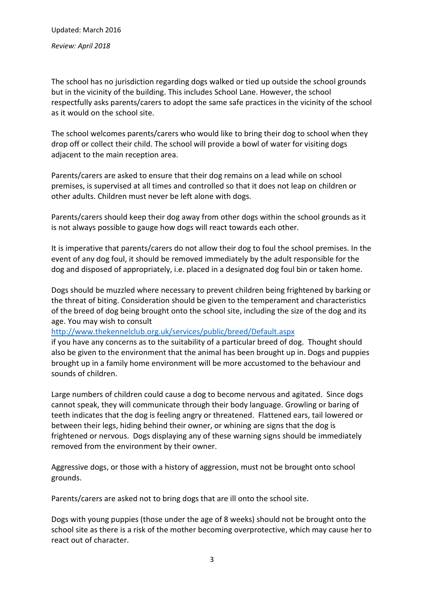Updated: March 2016 *Review: April 2018*

The school has no jurisdiction regarding dogs walked or tied up outside the school grounds but in the vicinity of the building. This includes School Lane. However, the school respectfully asks parents/carers to adopt the same safe practices in the vicinity of the school as it would on the school site.

The school welcomes parents/carers who would like to bring their dog to school when they drop off or collect their child. The school will provide a bowl of water for visiting dogs adjacent to the main reception area.

Parents/carers are asked to ensure that their dog remains on a lead while on school premises, is supervised at all times and controlled so that it does not leap on children or other adults. Children must never be left alone with dogs.

Parents/carers should keep their dog away from other dogs within the school grounds as it is not always possible to gauge how dogs will react towards each other.

It is imperative that parents/carers do not allow their dog to foul the school premises. In the event of any dog foul, it should be removed immediately by the adult responsible for the dog and disposed of appropriately, i.e. placed in a designated dog foul bin or taken home.

Dogs should be muzzled where necessary to prevent children being frightened by barking or the threat of biting. Consideration should be given to the temperament and characteristics of the breed of dog being brought onto the school site, including the size of the dog and its age. You may wish to consult

<http://www.thekennelclub.org.uk/services/public/breed/Default.aspx>

if you have any concerns as to the suitability of a particular breed of dog. Thought should also be given to the environment that the animal has been brought up in. Dogs and puppies brought up in a family home environment will be more accustomed to the behaviour and sounds of children.

Large numbers of children could cause a dog to become nervous and agitated. Since dogs cannot speak, they will communicate through their body language. Growling or baring of teeth indicates that the dog is feeling angry or threatened. Flattened ears, tail lowered or between their legs, hiding behind their owner, or whining are signs that the dog is frightened or nervous. Dogs displaying any of these warning signs should be immediately removed from the environment by their owner.

Aggressive dogs, or those with a history of aggression, must not be brought onto school grounds.

Parents/carers are asked not to bring dogs that are ill onto the school site.

Dogs with young puppies (those under the age of 8 weeks) should not be brought onto the school site as there is a risk of the mother becoming overprotective, which may cause her to react out of character.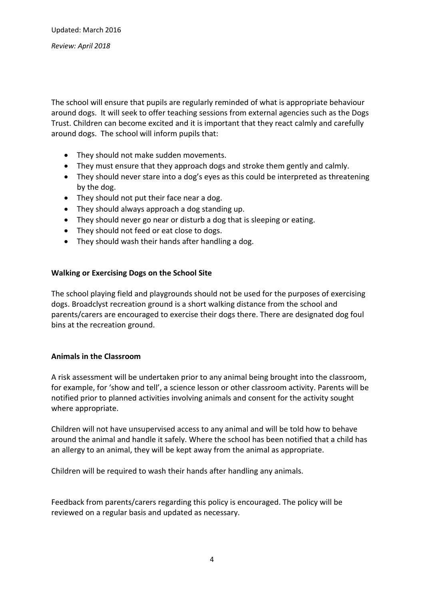The school will ensure that pupils are regularly reminded of what is appropriate behaviour around dogs. It will seek to offer teaching sessions from external agencies such as the Dogs Trust. Children can become excited and it is important that they react calmly and carefully around dogs. The school will inform pupils that:

- They should not make sudden movements.
- They must ensure that they approach dogs and stroke them gently and calmly.
- They should never stare into a dog's eyes as this could be interpreted as threatening by the dog.
- They should not put their face near a dog.
- They should always approach a dog standing up.
- They should never go near or disturb a dog that is sleeping or eating.
- They should not feed or eat close to dogs.
- They should wash their hands after handling a dog.

### **Walking or Exercising Dogs on the School Site**

The school playing field and playgrounds should not be used for the purposes of exercising dogs. Broadclyst recreation ground is a short walking distance from the school and parents/carers are encouraged to exercise their dogs there. There are designated dog foul bins at the recreation ground.

# **Animals in the Classroom**

A risk assessment will be undertaken prior to any animal being brought into the classroom, for example, for 'show and tell', a science lesson or other classroom activity. Parents will be notified prior to planned activities involving animals and consent for the activity sought where appropriate.

Children will not have unsupervised access to any animal and will be told how to behave around the animal and handle it safely. Where the school has been notified that a child has an allergy to an animal, they will be kept away from the animal as appropriate.

Children will be required to wash their hands after handling any animals.

Feedback from parents/carers regarding this policy is encouraged. The policy will be reviewed on a regular basis and updated as necessary.